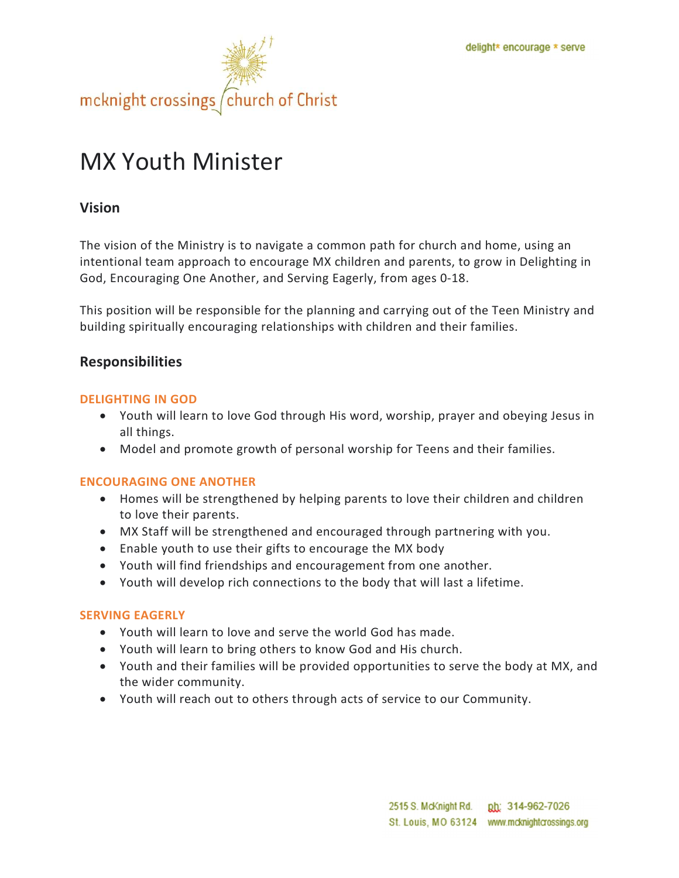

# MX Youth Minister

# Vision

The vision of the Ministry is to navigate a common path for church and home, using an intentional team approach to encourage MX children and parents, to grow in Delighting in God, Encouraging One Another, and Serving Eagerly, from ages 0-18.

This position will be responsible for the planning and carrying out of the Teen Ministry and building spiritually encouraging relationships with children and their families.

# Responsibilities

#### DELIGHTING IN GOD

- Youth will learn to love God through His word, worship, prayer and obeying Jesus in all things.
- Model and promote growth of personal worship for Teens and their families.

## ENCOURAGING ONE ANOTHER

- Homes will be strengthened by helping parents to love their children and children to love their parents.
- MX Staff will be strengthened and encouraged through partnering with you.
- Enable youth to use their gifts to encourage the MX body
- Youth will find friendships and encouragement from one another.
- Youth will develop rich connections to the body that will last a lifetime.

#### SERVING EAGERLY

- Youth will learn to love and serve the world God has made.
- Youth will learn to bring others to know God and His church.
- Youth and their families will be provided opportunities to serve the body at MX, and the wider community.
- Youth will reach out to others through acts of service to our Community.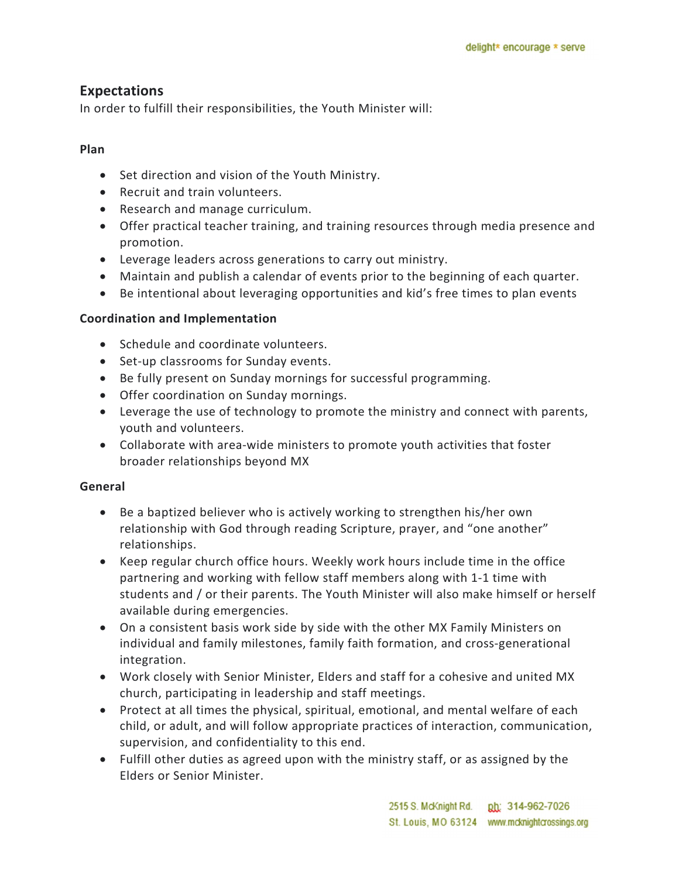# Expectations

In order to fulfill their responsibilities, the Youth Minister will:

## Plan

- Set direction and vision of the Youth Ministry.
- Recruit and train volunteers.
- Research and manage curriculum.
- Offer practical teacher training, and training resources through media presence and promotion.
- Leverage leaders across generations to carry out ministry.
- Maintain and publish a calendar of events prior to the beginning of each quarter.
- Be intentional about leveraging opportunities and kid's free times to plan events

## Coordination and Implementation

- Schedule and coordinate volunteers.
- Set-up classrooms for Sunday events.
- Be fully present on Sunday mornings for successful programming.
- Offer coordination on Sunday mornings.
- Leverage the use of technology to promote the ministry and connect with parents, youth and volunteers.
- Collaborate with area-wide ministers to promote youth activities that foster broader relationships beyond MX

## General

- Be a baptized believer who is actively working to strengthen his/her own relationship with God through reading Scripture, prayer, and "one another" relationships.
- Keep regular church office hours. Weekly work hours include time in the office partnering and working with fellow staff members along with 1-1 time with students and / or their parents. The Youth Minister will also make himself or herself available during emergencies.
- On a consistent basis work side by side with the other MX Family Ministers on individual and family milestones, family faith formation, and cross-generational integration.
- Work closely with Senior Minister, Elders and staff for a cohesive and united MX church, participating in leadership and staff meetings.
- Protect at all times the physical, spiritual, emotional, and mental welfare of each child, or adult, and will follow appropriate practices of interaction, communication, supervision, and confidentiality to this end.
- Fulfill other duties as agreed upon with the ministry staff, or as assigned by the Elders or Senior Minister.